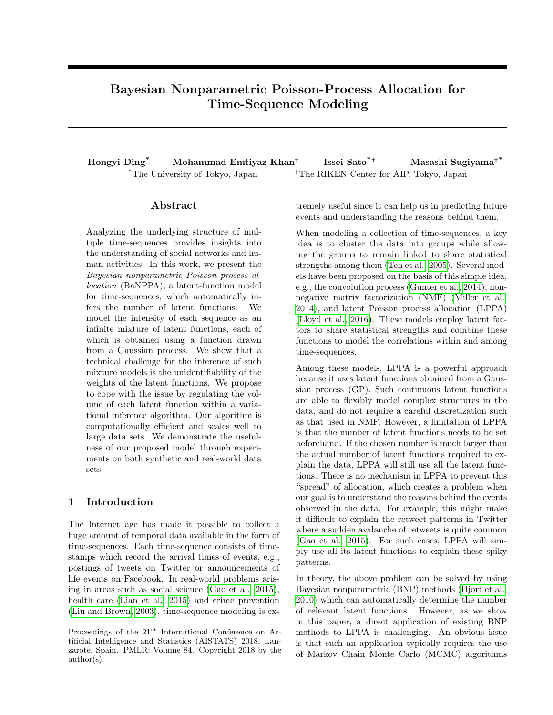# Bayesian Nonparametric Poisson-Process Allocation for Time-Sequence Modeling

Hongyi Ding<sup>\*</sup> Mohammad Emtiyaz Khan<sup>+</sup> Issei Sato $*$ <sup>+</sup> Masashi Sugiyama<sup>+\*</sup> <sup>\*</sup>The University of Tokyo, Japan <sup>+</sup>The RIKEN Center for AIP, Tokyo, Japan

#### Abstract

Analyzing the underlying structure of multiple time-sequences provides insights into the understanding of social networks and human activities. In this work, we present the Bayesian nonparametric Poisson process allocation (BaNPPA), a latent-function model for time-sequences, which automatically infers the number of latent functions. We model the intensity of each sequence as an infinite mixture of latent functions, each of which is obtained using a function drawn from a Gaussian process. We show that a technical challenge for the inference of such mixture models is the unidentifiability of the weights of the latent functions. We propose to cope with the issue by regulating the volume of each latent function within a variational inference algorithm. Our algorithm is computationally efficient and scales well to large data sets. We demonstrate the usefulness of our proposed model through experiments on both synthetic and real-world data sets.

### 1 Introduction

The Internet age has made it possible to collect a huge amount of temporal data available in the form of time-sequences. Each time-sequence consists of timestamps which record the arrival times of events, e.g., postings of tweets on Twitter or announcements of life events on Facebook. In real-world problems arising in areas such as social science [\(Gao et al., 2015\)](#page-8-0), health care [\(Lian et al., 2015\)](#page-8-1) and crime prevention [\(Liu and Brown, 2003\)](#page-8-2), time-sequence modeling is extremely useful since it can help us in predicting future events and understanding the reasons behind them.

When modeling a collection of time-sequences, a key idea is to cluster the data into groups while allowing the groups to remain linked to share statistical strengths among them [\(Teh et al., 2005\)](#page-8-3). Several models have been proposed on the basis of this simple idea, e.g., the convolution process [\(Gunter et al., 2014\)](#page-8-4), nonnegative matrix factorization (NMF) [\(Miller et al.,](#page-8-5) [2014\)](#page-8-5), and latent Poisson process allocation (LPPA) [\(Lloyd et al., 2016\)](#page-8-6). These models employ latent factors to share statistical strengths and combine these functions to model the correlations within and among time-sequences.

Among these models, LPPA is a powerful approach because it uses latent functions obtained from a Gaussian process (GP). Such continuous latent functions are able to flexibly model complex structures in the data, and do not require a careful discretization such as that used in NMF. However, a limitation of LPPA is that the number of latent functions needs to be set beforehand. If the chosen number is much larger than the actual number of latent functions required to explain the data, LPPA will still use all the latent functions. There is no mechanism in LPPA to prevent this "spread" of allocation, which creates a problem when our goal is to understand the reasons behind the events observed in the data. For example, this might make it difficult to explain the retweet patterns in Twitter where a sudden avalanche of retweets is quite common [\(Gao et al., 2015\)](#page-8-0). For such cases, LPPA will simply use all its latent functions to explain these spiky patterns.

In theory, the above problem can be solved by using Bayesian nonparametric (BNP) methods [\(Hjort et al.,](#page-8-7) [2010\)](#page-8-7) which can automatically determine the number of relevant latent functions. However, as we show in this paper, a direct application of existing BNP methods to LPPA is challenging. An obvious issue is that such an application typically requires the use of Markov Chain Monte Carlo (MCMC) algorithms

Proceedings of the  $21^{st}$  International Conference on Artificial Intelligence and Statistics (AISTATS) 2018, Lanzarote, Spain. PMLR: Volume 84. Copyright 2018 by the author(s).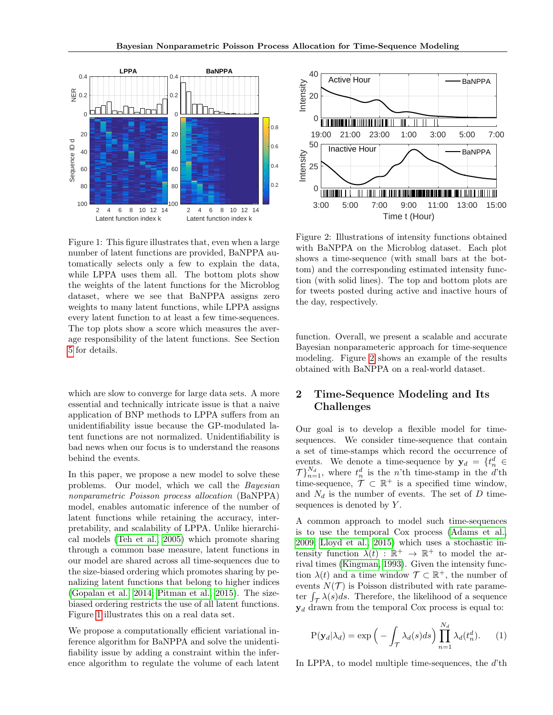<span id="page-1-0"></span>

Figure 1: This figure illustrates that, even when a large number of latent functions are provided, BaNPPA automatically selects only a few to explain the data, while LPPA uses them all. The bottom plots show the weights of the latent functions for the Microblog dataset, where we see that BaNPPA assigns zero weights to many latent functions, while LPPA assigns every latent function to at least a few time-sequences. The top plots show a score which measures the average responsibility of the latent functions. See Section [5](#page-4-0) for details.

which are slow to converge for large data sets. A more essential and technically intricate issue is that a naive application of BNP methods to LPPA suffers from an unidentifiability issue because the GP-modulated latent functions are not normalized. Unidentifiability is bad news when our focus is to understand the reasons behind the events.

In this paper, we propose a new model to solve these problems. Our model, which we call the Bayesian nonparametric Poisson process allocation (BaNPPA) model, enables automatic inference of the number of latent functions while retaining the accuracy, interpretability, and scalability of LPPA. Unlike hierarchical models [\(Teh et al., 2005\)](#page-8-3) which promote sharing through a common base measure, latent functions in our model are shared across all time-sequences due to the size-biased ordering which promotes sharing by penalizing latent functions that belong to higher indices [\(Gopalan et al., 2014;](#page-8-8) [Pitman et al., 2015\)](#page-8-9). The sizebiased ordering restricts the use of all latent functions. Figure [1](#page-1-0) illustrates this on a real data set.

We propose a computationally efficient variational inference algorithm for BaNPPA and solve the unidentifiability issue by adding a constraint within the inference algorithm to regulate the volume of each latent

<span id="page-1-1"></span>

Figure 2: Illustrations of intensity functions obtained with BaNPPA on the Microblog dataset. Each plot shows a time-sequence (with small bars at the bottom) and the corresponding estimated intensity function (with solid lines). The top and bottom plots are for tweets posted during active and inactive hours of the day, respectively.

function. Overall, we present a scalable and accurate Bayesian nonparameteric approach for time-sequence modeling. Figure [2](#page-1-1) shows an example of the results obtained with BaNPPA on a real-world dataset.

# 2 Time-Sequence Modeling and Its Challenges

Our goal is to develop a flexible model for timesequences. We consider time-sequence that contain a set of time-stamps which record the occurrence of events. We denote a time-sequence by  $y_d = \{t_n^d \in$  $\mathcal{T}}_{n=1}^{N_d}$ , where  $t_n^d$  is the n'th time-stamp in the d'th time-sequence,  $\mathcal{T} \subset \mathbb{R}^+$  is a specified time window, and  $N_d$  is the number of events. The set of D timesequences is denoted by  $Y$ .

A common approach to model such time-sequences is to use the temporal Cox process [\(Adams et al.,](#page-8-10) [2009;](#page-8-10) [Lloyd et al., 2015\)](#page-8-11) which uses a stochastic intensity function  $\lambda(t) : \mathbb{R}^+ \to \mathbb{R}^+$  to model the arrival times [\(Kingman, 1993\)](#page-8-12). Given the intensity function  $\lambda(t)$  and a time window  $\mathcal{T} \subset \mathbb{R}^+$ , the number of events  $N(\mathcal{T})$  is Poisson distributed with rate parameter  $\int_{\mathcal{T}} \lambda(s)ds$ . Therefore, the likelihood of a sequence  $y_d$  drawn from the temporal Cox process is equal to:

$$
P(\mathbf{y}_d|\lambda_d) = \exp\left(-\int_{\mathcal{T}} \lambda_d(s)ds\right) \prod_{n=1}^{N_d} \lambda_d(t_n^d). \tag{1}
$$

In LPPA, to model multiple time-sequences, the d'th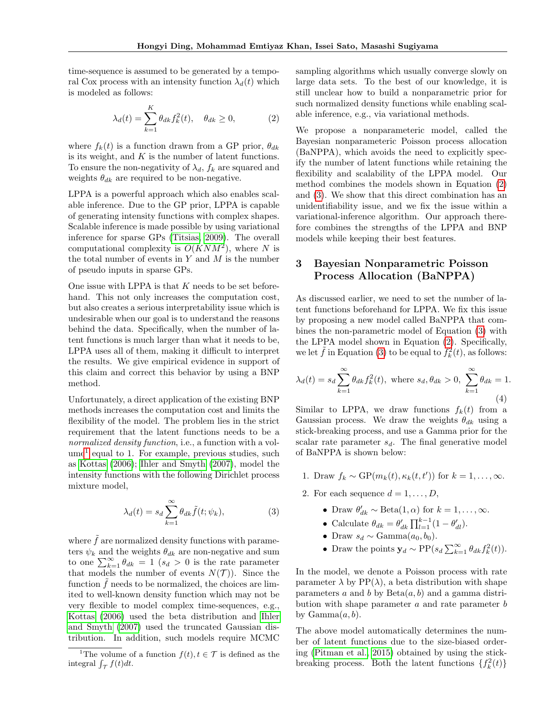time-sequence is assumed to be generated by a temporal Cox process with an intensity function  $\lambda_d(t)$  which is modeled as follows:

<span id="page-2-1"></span>
$$
\lambda_d(t) = \sum_{k=1}^K \theta_{dk} f_k^2(t), \quad \theta_{dk} \ge 0,
$$
 (2)

where  $f_k(t)$  is a function drawn from a GP prior,  $\theta_{dk}$ is its weight, and  $K$  is the number of latent functions. To ensure the non-negativity of  $\lambda_d$ ,  $f_k$  are squared and weights  $\theta_{dk}$  are required to be non-negative.

LPPA is a powerful approach which also enables scalable inference. Due to the GP prior, LPPA is capable of generating intensity functions with complex shapes. Scalable inference is made possible by using variational inference for sparse GPs [\(Titsias, 2009\)](#page-8-13). The overall computational complexity is  $O(KNM^2)$ , where N is the total number of events in  $Y$  and  $M$  is the number of pseudo inputs in sparse GPs.

One issue with LPPA is that  $K$  needs to be set beforehand. This not only increases the computation cost, but also creates a serious interpretability issue which is undesirable when our goal is to understand the reasons behind the data. Specifically, when the number of latent functions is much larger than what it needs to be, LPPA uses all of them, making it difficult to interpret the results. We give empirical evidence in support of this claim and correct this behavior by using a BNP method.

Unfortunately, a direct application of the existing BNP methods increases the computation cost and limits the flexibility of the model. The problem lies in the strict requirement that the latent functions needs to be a normalized density function, i.e., a function with a vol-ume<sup>[1](#page-2-0)</sup> equal to 1. For example, previous studies, such as [Kottas](#page-8-14) [\(2006\)](#page-8-14); [Ihler and Smyth](#page-8-15) [\(2007\)](#page-8-15), model the intensity functions with the following Dirichlet process mixture model,

$$
\lambda_d(t) = s_d \sum_{k=1}^{\infty} \theta_{dk} \tilde{f}(t; \psi_k), \tag{3}
$$

where  $\tilde{f}$  are normalized density functions with parameters  $\psi_k$  and the weights  $\theta_{dk}$  are non-negative and sum to one  $\sum_{k=1}^{\infty} \theta_{dk} = 1$  (s<sub>d</sub> > 0 is the rate parameter that models the number of events  $N(\mathcal{T})$ ). Since the function  $f$  needs to be normalized, the choices are limited to well-known density function which may not be very flexible to model complex time-sequences, e.g., [Kottas](#page-8-14) [\(2006\)](#page-8-14) used the beta distribution and [Ihler](#page-8-15) [and Smyth](#page-8-15) [\(2007\)](#page-8-15) used the truncated Gaussian distribution. In addition, such models require MCMC

sampling algorithms which usually converge slowly on large data sets. To the best of our knowledge, it is still unclear how to build a nonparametric prior for such normalized density functions while enabling scalable inference, e.g., via variational methods.

We propose a nonparameteric model, called the Bayesian nonparameteric Poisson process allocation (BaNPPA), which avoids the need to explicitly specify the number of latent functions while retaining the flexibility and scalability of the LPPA model. Our method combines the models shown in Equation [\(2\)](#page-2-1) and [\(3\)](#page-2-2). We show that this direct combination has an unidentifiability issue, and we fix the issue within a variational-inference algorithm. Our approach therefore combines the strengths of the LPPA and BNP models while keeping their best features.

# <span id="page-2-4"></span>3 Bayesian Nonparametric Poisson Process Allocation (BaNPPA)

As discussed earlier, we need to set the number of latent functions beforehand for LPPA. We fix this issue by proposing a new model called BaNPPA that combines the non-parametric model of Equation [\(3\)](#page-2-2) with the LPPA model shown in Equation [\(2\)](#page-2-1). Specifically, we let  $\tilde{f}$  in Equation [\(3\)](#page-2-2) to be equal to  $f_k^2(t)$ , as follows:

<span id="page-2-3"></span>
$$
\lambda_d(t) = s_d \sum_{k=1}^{\infty} \theta_{dk} f_k^2(t), \text{ where } s_d, \theta_{dk} > 0, \sum_{k=1}^{\infty} \theta_{dk} = 1.
$$
\n(4)

Similar to LPPA, we draw functions  $f_k(t)$  from a Gaussian process. We draw the weights  $\theta_{dk}$  using a stick-breaking process, and use a Gamma prior for the scalar rate parameter  $s_d$ . The final generative model of BaNPPA is shown below:

- 1. Draw  $f_k \sim GP(m_k(t), \kappa_k(t, t'))$  for  $k = 1, ..., \infty$ .
- <span id="page-2-2"></span>2. For each sequence  $d = 1, \ldots, D$ ,
	- Draw  $\theta'_{dk} \sim \text{Beta}(1, \alpha)$  for  $k = 1, \ldots, \infty$ .
	- Calculate  $\theta_{dk} = \theta'_{dk} \prod_{l=1}^{k-1} (1 \theta'_{dl}).$
	- Draw  $s_d \sim \text{Gamma}(a_0, b_0)$ .
	- Draw the points  $\mathbf{y}_d \sim \text{PP}(s_d \sum_{k=1}^{\infty} \theta_{dk} f_k^2(t)).$

In the model, we denote a Poisson process with rate parameter  $\lambda$  by PP( $\lambda$ ), a beta distribution with shape parameters a and b by  $Beta(a, b)$  and a gamma distribution with shape parameter  $a$  and rate parameter  $b$ by  $Gamma(a, b)$ .

The above model automatically determines the number of latent functions due to the size-biased ordering [\(Pitman et al., 2015\)](#page-8-9) obtained by using the stickbreaking process. Both the latent functions  $\{f_k^2(t)\}$ 

<span id="page-2-0"></span><sup>&</sup>lt;sup>1</sup>The volume of a function  $f(t)$ ,  $t \in \mathcal{T}$  is defined as the integral  $\int_{\mathcal{T}} f(t) dt$ .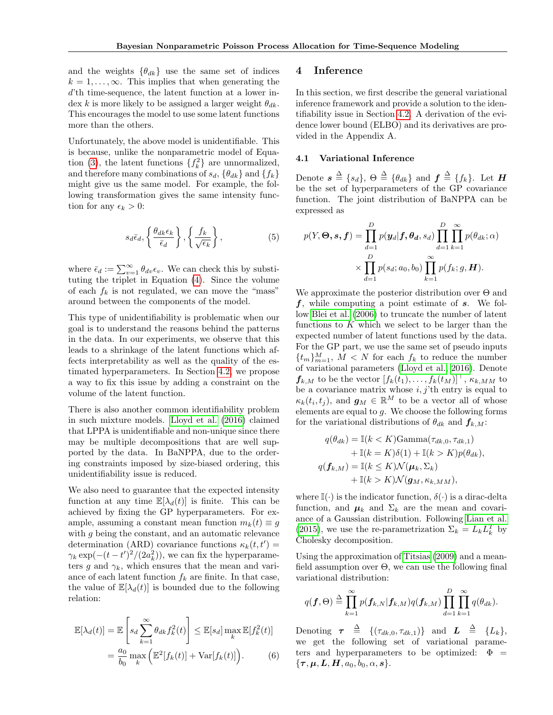and the weights  $\{\theta_{dk}\}\$ use the same set of indices  $k = 1, \ldots, \infty$ . This implies that when generating the d'th time-sequence, the latent function at a lower index k is more likely to be assigned a larger weight  $\theta_{dk}$ . This encourages the model to use some latent functions more than the others.

Unfortunately, the above model is unidentifiable. This is because, unlike the nonparametric model of Equa-tion [\(3\)](#page-2-2), the latent functions  $\{f_k^2\}$  are unnormalized, and therefore many combinations of  $s_d$ ,  $\{\theta_{dk}\}\$  and  $\{f_k\}$ might give us the same model. For example, the following transformation gives the same intensity function for any  $\epsilon_k > 0$ :

$$
s_d \bar{\epsilon}_d, \left\{ \frac{\theta_{dk} \epsilon_k}{\bar{\epsilon}_d} \right\}, \left\{ \frac{f_k}{\sqrt{\epsilon_k}} \right\},\tag{5}
$$

where  $\bar{\epsilon}_d := \sum_{v=1}^{\infty} \theta_{dv} \epsilon_v$ . We can check this by substituting the triplet in Equation [\(4\)](#page-2-3). Since the volume of each  $f_k$  is not regulated, we can move the "mass" around between the components of the model.

This type of unidentifiability is problematic when our goal is to understand the reasons behind the patterns in the data. In our experiments, we observe that this leads to a shrinkage of the latent functions which affects interpretability as well as the quality of the estimated hyperparameters. In Section [4.2,](#page-4-1) we propose a way to fix this issue by adding a constraint on the volume of the latent function.

There is also another common identifiability problem in such mixture models. [Lloyd et al.](#page-8-6) [\(2016\)](#page-8-6) claimed that LPPA is unidentifiable and non-unique since there may be multiple decompositions that are well supported by the data. In BaNPPA, due to the ordering constraints imposed by size-biased ordering, this unidentifiability issue is reduced.

We also need to guarantee that the expected intensity function at any time  $\mathbb{E}[\lambda_d(t)]$  is finite. This can be achieved by fixing the GP hyperparameters. For example, assuming a constant mean function  $m_k(t) \equiv g$ with q being the constant, and an automatic relevance determination (ARD) covariance functions  $\kappa_k(t,t') =$  $\gamma_k \exp(-(t-t')^2/(2a_k^2))$ , we can fix the hyperparameters g and  $\gamma_k$ , which ensures that the mean and variance of each latent function  $f_k$  are finite. In that case, the value of  $\mathbb{E}[\lambda_d(t)]$  is bounded due to the following relation:

$$
\mathbb{E}[\lambda_d(t)] = \mathbb{E}\left[s_d \sum_{k=1}^{\infty} \theta_{dk} f_k^2(t)\right] \leq \mathbb{E}[s_d] \max_k \mathbb{E}[f_k^2(t)]
$$

$$
= \frac{a_0}{b_0} \max_k \left(\mathbb{E}^2[f_k(t)] + \text{Var}[f_k(t)]\right). \tag{6}
$$

#### 4 Inference

In this section, we first describe the general variational inference framework and provide a solution to the identifiability issue in Section [4.2.](#page-4-1) A derivation of the evidence lower bound (ELBO) and its derivatives are provided in the Appendix A.

#### 4.1 Variational Inference

Denote  $\mathbf{s} \triangleq \{s_d\}, \ \Theta \triangleq \{\theta_{dk}\} \text{ and } \mathbf{f} \triangleq \{f_k\}.$  Let  $\mathbf{H}$ be the set of hyperparameters of the GP covariance function. The joint distribution of BaNPPA can be expressed as

$$
p(Y, \Theta, s, f) = \prod_{d=1}^{D} p(y_d | f, \theta_d, s_d) \prod_{d=1}^{D} \prod_{k=1}^{\infty} p(\theta_{dk}; \alpha)
$$

$$
\times \prod_{d=1}^{D} p(s_d; a_0, b_0) \prod_{k=1}^{\infty} p(f_k; g, H).
$$

We approximate the posterior distribution over  $\Theta$  and  $f$ , while computing a point estimate of  $s$ . We follow [Blei et al.](#page-8-16) [\(2006\)](#page-8-16) to truncate the number of latent functions to  $K$  which we select to be larger than the expected number of latent functions used by the data. For the GP part, we use the same set of pseudo inputs  ${t_m}_{m=1}^M$ ,  $M < N$  for each  $f_k$  to reduce the number of variational parameters [\(Lloyd et al., 2016\)](#page-8-6). Denote  $\boldsymbol{f}_{k,M}$  to be the vector  $[f_k(t_1),\ldots,f_k(t_M)]^{\top}$ ,  $\kappa_{k,MM}$  to be a covariance matrix whose  $i, j$ 'th entry is equal to  $\kappa_k(t_i, t_j)$ , and  $\mathbf{g}_M \in \mathbb{R}^M$  to be a vector all of whose elements are equal to  $g$ . We choose the following forms for the variational distributions of  $\theta_{dk}$  and  $f_{k,M}$ :

$$
q(\theta_{dk}) = \mathbb{I}(k < K)\text{Gamma}(\tau_{dk,0}, \tau_{dk,1})
$$
  
+ 
$$
\mathbb{I}(k = K)\delta(1) + \mathbb{I}(k > K)p(\theta_{dk}),
$$
  

$$
q(\mathbf{f}_{k,M}) = \mathbb{I}(k \leq K)\mathcal{N}(\boldsymbol{\mu}_{k}, \Sigma_{k})
$$
  
+ 
$$
\mathbb{I}(k > K)\mathcal{N}(\boldsymbol{g}_{M}, \kappa_{k,MM}),
$$

where  $\mathbb{I}(\cdot)$  is the indicator function,  $\delta(\cdot)$  is a dirac-delta function, and  $\mu_k$  and  $\Sigma_k$  are the mean and covariance of a Gaussian distribution. Following [Lian et al.](#page-8-1) [\(2015\)](#page-8-1), we use the re-parametrization  $\Sigma_k = L_k L_k^T$  by Cholesky decomposition.

Using the approximation of [Titsias](#page-8-13) [\(2009\)](#page-8-13) and a meanfield assumption over  $\Theta$ , we can use the following final variational distribution:

$$
q(\boldsymbol{f},\Theta) \stackrel{\Delta}{=} \prod_{k=1}^{\infty} p(\boldsymbol{f}_{k,N}|\boldsymbol{f}_{k,M}) q(\boldsymbol{f}_{k,M}) \prod_{d=1}^{D} \prod_{k=1}^{\infty} q(\theta_{dk}).
$$

Denoting  $\boldsymbol{\tau} \triangleq \{(\tau_{dk,0}, \tau_{dk,1})\}$  and  $\boldsymbol{L} \triangleq \{L_k\},\$ we get the following set of variational parameters and hyperparameters to be optimized:  $\Phi =$  $\{\boldsymbol{\tau}, \boldsymbol{\mu}, \boldsymbol{L}, \boldsymbol{H}, a_0, b_0, \alpha, \boldsymbol{s}\}.$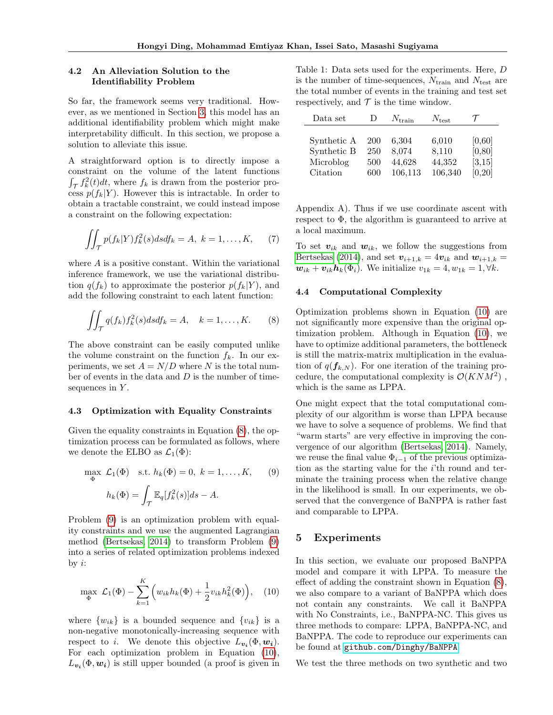#### <span id="page-4-1"></span>4.2 An Alleviation Solution to the Identifiability Problem

So far, the framework seems very traditional. However, as we mentioned in Section [3,](#page-2-4) this model has an additional identifiability problem which might make interpretability difficult. In this section, we propose a solution to alleviate this issue.

A straightforward option is to directly impose a constraint on the volume of the latent functions  $\int_{\mathcal{T}} f_k^2(t)dt$ , where  $f_k$  is drawn from the posterior process  $p(f_k|Y)$ . However this is intractable. In order to obtain a tractable constraint, we could instead impose a constraint on the following expectation:

$$
\iint_{\mathcal{T}} p(f_k|Y) f_k^2(s) ds df_k = A, \ k = 1, \dots, K,
$$
 (7)

where  $A$  is a positive constant. Within the variational inference framework, we use the variational distribution  $q(f_k)$  to approximate the posterior  $p(f_k|Y)$ , and add the following constraint to each latent function:

<span id="page-4-2"></span>
$$
\iint_{\mathcal{T}} q(f_k) f_k^2(s) ds df_k = A, \quad k = 1, \dots, K. \tag{8}
$$

The above constraint can be easily computed unlike the volume constraint on the function  $f_k$ . In our experiments, we set  $A = N/D$  where N is the total number of events in the data and  $D$  is the number of timesequences in  $Y$ .

#### 4.3 Optimization with Equality Constraints

Given the equality constraints in Equation [\(8\)](#page-4-2), the optimization process can be formulated as follows, where we denote the ELBO as  $\mathcal{L}_1(\Phi)$ :

$$
\max_{\Phi} \mathcal{L}_1(\Phi) \quad \text{s.t. } h_k(\Phi) = 0, \ k = 1, \dots, K, \qquad (9)
$$

$$
h_k(\Phi) = \int_{\mathcal{T}} \mathbb{E}_q[f_k^2(s)]ds - A.
$$

Problem [\(9\)](#page-4-3) is an optimization problem with equality constraints and we use the augmented Lagrangian method [\(Bertsekas, 2014\)](#page-8-17) to transform Problem [\(9\)](#page-4-3) into a series of related optimization problems indexed by  $i$ :

<span id="page-4-4"></span>
$$
\max_{\Phi} \mathcal{L}_1(\Phi) - \sum_{k=1}^K \left( w_{ik} h_k(\Phi) + \frac{1}{2} v_{ik} h_k^2(\Phi) \right), \quad (10)
$$

where  $\{w_{ik}\}\$ is a bounded sequence and  $\{v_{ik}\}\$ is a non-negative monotonically-increasing sequence with respect to *i*. We denote this objective  $L_{\mathbf{v_i}}(\Phi, \mathbf{w_i})$ . For each optimization problem in Equation [\(10\)](#page-4-4),  $L_{\mathbf{v_i}}(\Phi, \mathbf{w_i})$  is still upper bounded (a proof is given in

<span id="page-4-5"></span>Table 1: Data sets used for the experiments. Here, D is the number of time-sequences,  $N_{\text{train}}$  and  $N_{\text{test}}$  are the total number of events in the training and test set respectively, and  $\mathcal T$  is the time window.

| Data set    | $\Box$     | $N_{\rm train}$ | $N_{\text{test}}$ |         |
|-------------|------------|-----------------|-------------------|---------|
|             |            |                 |                   |         |
| Synthetic A | <b>200</b> | 6,304           | 6,010             | [0,60]  |
| Synthetic B | 250        | 8.074           | 8,110             | [0, 80] |
| Microblog   | 500        | 44,628          | 44,352            | [3, 15] |
| Citation    | 600        | 106,113         | 106,340           | [0, 20] |

Appendix A). Thus if we use coordinate ascent with respect to Φ, the algorithm is guaranteed to arrive at a local maximum.

To set  $v_{ik}$  and  $w_{ik}$ , we follow the suggestions from [Bertsekas](#page-8-17) [\(2014\)](#page-8-17), and set  $v_{i+1,k} = 4v_{ik}$  and  $w_{i+1,k} =$  $\mathbf{w}_{ik} + \mathbf{v}_{ik} \mathbf{h}_k(\Phi_i)$ . We initialize  $v_{1k} = 4, w_{1k} = 1, \forall k$ .

#### 4.4 Computational Complexity

Optimization problems shown in Equation [\(10\)](#page-4-4) are not significantly more expensive than the original optimization problem. Although in Equation [\(10\)](#page-4-4), we have to optimize additional parameters, the bottleneck is still the matrix-matrix multiplication in the evaluation of  $q(f_{k,N})$ . For one iteration of the training procedure, the computational complexity is  $\mathcal{O}(KNM^2)$ , which is the same as LPPA.

<span id="page-4-3"></span>One might expect that the total computational complexity of our algorithm is worse than LPPA because we have to solve a sequence of problems. We find that "warm starts" are very effective in improving the convergence of our algorithm [\(Bertsekas, 2014\)](#page-8-17). Namely, we reuse the final value  $\Phi_{i-1}$  of the previous optimization as the starting value for the i'th round and terminate the training process when the relative change in the likelihood is small. In our experiments, we observed that the convergence of BaNPPA is rather fast and comparable to LPPA.

#### <span id="page-4-0"></span>5 Experiments

In this section, we evaluate our proposed BaNPPA model and compare it with LPPA. To measure the effect of adding the constraint shown in Equation [\(8\)](#page-4-2), we also compare to a variant of BaNPPA which does not contain any constraints. We call it BaNPPA with No Constraints, i.e., BaNPPA-NC. This gives us three methods to compare: LPPA, BaNPPA-NC, and BaNPPA. The code to reproduce our experiments can be found at <github.com/Dinghy/BaNPPA>.

We test the three methods on two synthetic and two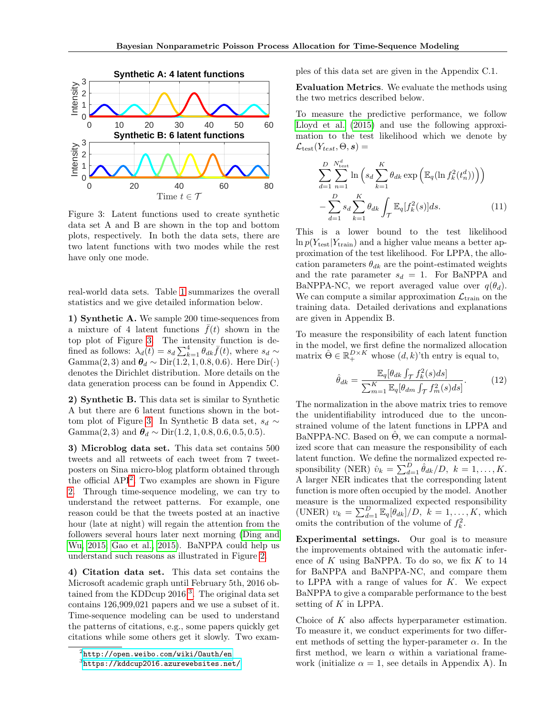<span id="page-5-0"></span>

Figure 3: Latent functions used to create synthetic data set A and B are shown in the top and bottom plots, respectively. In both the data sets, there are two latent functions with two modes while the rest have only one mode.

real-world data sets. Table [1](#page-4-5) summarizes the overall statistics and we give detailed information below.

1) Synthetic A. We sample 200 time-sequences from a mixture of 4 latent functions  $\bar{f}(t)$  shown in the top plot of Figure [3.](#page-5-0) The intensity function is defined as follows:  $\lambda_d(t) = s_d \sum_{k=1}^4 \theta_{dk} \bar{f}(t)$ , where  $s_d \sim$ Gamma $(2, 3)$  and  $\theta_d \sim \text{Dir}(1.2, 1, 0.8, 0.6)$ . Here  $\text{Dir}(\cdot)$ denotes the Dirichlet distribution. More details on the data generation process can be found in Appendix C.

2) Synthetic B. This data set is similar to Synthetic A but there are 6 latent functions shown in the bot-tom plot of Figure [3.](#page-5-0) In Synthetic B data set,  $s_d \sim$ Gamma $(2, 3)$  and  $\theta_d \sim \text{Dir}(1.2, 1, 0.8, 0.6, 0.5, 0.5)$ .

3) Microblog data set. This data set contains 500 tweets and all retweets of each tweet from 7 tweetposters on Sina micro-blog platform obtained through the official API[2](#page-5-1) . Two examples are shown in Figure [2.](#page-1-1) Through time-sequence modeling, we can try to understand the retweet patterns. For example, one reason could be that the tweets posted at an inactive hour (late at night) will regain the attention from the followers several hours later next morning [\(Ding and](#page-8-18) [Wu, 2015;](#page-8-18) [Gao et al., 2015\)](#page-8-0). BaNPPA could help us understand such reasons as illustrated in Figure [2.](#page-1-1)

4) Citation data set. This data set contains the Microsoft academic graph until February 5th, 2016 ob-tained from the KDDcup 2016<sup>[3](#page-5-2)</sup>. The original data set contains 126,909,021 papers and we use a subset of it. Time-sequence modeling can be used to understand the patterns of citations, e.g., some papers quickly get citations while some others get it slowly. Two examples of this data set are given in the Appendix C.1.

Evaluation Metrics. We evaluate the methods using the two metrics described below.

To measure the predictive performance, we follow [Lloyd et al.](#page-8-11) [\(2015\)](#page-8-11) and use the following approximation to the test likelihood which we denote by  $\mathcal{L}_{\text{test}}(Y_{test}, \Theta, \mathbf{s}) =$ 

$$
\sum_{d=1}^{D} \sum_{n=1}^{N_{\text{test}}^{d}} \ln \left( s_d \sum_{k=1}^{K} \theta_{dk} \exp \left( \mathbb{E}_q (\ln f_k^2(t_n^d)) \right) \right) - \sum_{d=1}^{D} s_d \sum_{k=1}^{K} \theta_{dk} \int_{\mathcal{T}} \mathbb{E}_q[f_k^2(s)] ds.
$$
 (11)

This is a lower bound to the test likelihood  $\ln p(Y_{\text{test}}|Y_{\text{train}})$  and a higher value means a better approximation of the test likelihood. For LPPA, the allocation parameters  $\theta_{dk}$  are the point-estimated weights and the rate parameter  $s_d = 1$ . For BaNPPA and BaNPPA-NC, we report averaged value over  $q(\theta_d)$ . We can compute a similar approximation  $\mathcal{L}_{\text{train}}$  on the training data. Detailed derivations and explanations are given in Appendix B.

To measure the responsibility of each latent function in the model, we first define the normalized allocation matrix  $\hat{\Theta} \in \mathbb{R}_+^{D \times K}$  whose  $(d, k)$ 'th entry is equal to,

$$
\hat{\theta}_{dk} = \frac{\mathbb{E}_q[\theta_{dk} \int_{\mathcal{T}} f_k^2(s)ds]}{\sum_{m=1}^K \mathbb{E}_q[\theta_{dm} \int_{\mathcal{T}} f_m^2(s)ds]}.
$$
(12)

The normalization in the above matrix tries to remove the unidentifiability introduced due to the unconstrained volume of the latent functions in LPPA and BaNPPA-NC. Based on  $\hat{\Theta}$ , we can compute a normalized score that can measure the responsibility of each latent function. We define the normalized expected responsibility (NER)  $\hat{v}_k = \sum_{d=1}^D \hat{\theta}_{dk}/D, k = 1, ..., K.$ A larger NER indicates that the corresponding latent function is more often occupied by the model. Another measure is the unnormalized expected responsibility (UNER)  $v_k = \sum_{d=1}^D \mathbb{E}_q[\theta_{dk}]/D$ ,  $k = 1, \ldots, K$ , which omits the contribution of the volume of  $f_k^2$ .

Experimental settings. Our goal is to measure the improvements obtained with the automatic inference of  $K$  using BaNPPA. To do so, we fix  $K$  to 14 for BaNPPA and BaNPPA-NC, and compare them to LPPA with a range of values for  $K$ . We expect BaNPPA to give a comparable performance to the best setting of  $K$  in LPPA.

Choice of  $K$  also affects hyperparameter estimation. To measure it, we conduct experiments for two different methods of setting the hyper-parameter  $\alpha$ . In the first method, we learn  $\alpha$  within a variational framework (initialize  $\alpha = 1$ , see details in Appendix A). In

<span id="page-5-2"></span><span id="page-5-1"></span> $^{2}$ <http://open.weibo.com/wiki/Oauth/en> 3 <https://kddcup2016.azurewebsites.net/>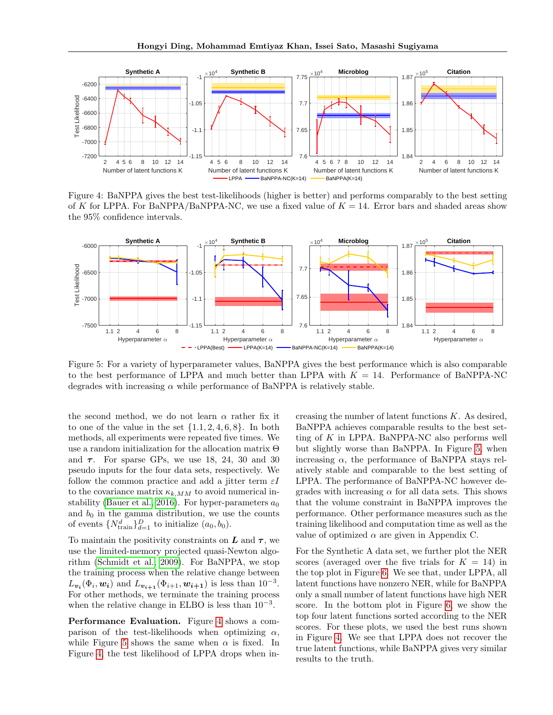<span id="page-6-0"></span>

Figure 4: BaNPPA gives the best test-likelihoods (higher is better) and performs comparably to the best setting of K for LPPA. For BaNPPA/BaNPPA-NC, we use a fixed value of  $K = 14$ . Error bars and shaded areas show the 95% confidence intervals.

<span id="page-6-1"></span>

Figure 5: For a variety of hyperparameter values, BaNPPA gives the best performance which is also comparable to the best performance of LPPA and much better than LPPA with  $K = 14$ . Performance of BaNPPA-NC degrades with increasing  $\alpha$  while performance of BaNPPA is relatively stable.

the second method, we do not learn  $\alpha$  rather fix it to one of the value in the set  $\{1.1, 2, 4, 6, 8\}$ . In both methods, all experiments were repeated five times. We use a random initialization for the allocation matrix Θ and  $\tau$ . For sparse GPs, we use 18, 24, 30 and 30 pseudo inputs for the four data sets, respectively. We follow the common practice and add a jitter term  $\varepsilon I$ to the covariance matrix  $\kappa_{k,MM}$  to avoid numerical in-stability [\(Bauer et al., 2016\)](#page-8-19). For hyper-parameters  $a_0$ and  $b_0$  in the gamma distribution, we use the counts of events  $\{N_{\text{train}}^d\}_{d=1}^D$  to initialize  $(a_0, b_0)$ .

To maintain the positivity constraints on  $\boldsymbol{L}$  and  $\boldsymbol{\tau}$ , we use the limited-memory projected quasi-Newton algorithm [\(Schmidt et al., 2009\)](#page-8-20). For BaNPPA, we stop the training process when the relative change between  $L_{\mathbf{v}_i}(\Phi_i, \mathbf{w}_i)$  and  $L_{\mathbf{v}_{i+1}}(\Phi_{i+1}, \mathbf{w}_{i+1})$  is less than  $10^{-3}$ . For other methods, we terminate the training process when the relative change in ELBO is less than  $10^{-3}$ .

Performance Evaluation. Figure [4](#page-6-0) shows a comparison of the test-likelihoods when optimizing  $\alpha$ , while Figure [5](#page-6-1) shows the same when  $\alpha$  is fixed. In Figure [4,](#page-6-0) the test likelihood of LPPA drops when increasing the number of latent functions  $K$ . As desired, BaNPPA achieves comparable results to the best setting of  $K$  in LPPA. BaNPPA-NC also performs well but slightly worse than BaNPPA. In Figure [5,](#page-6-1) when increasing  $\alpha$ , the performance of BaNPPA stays relatively stable and comparable to the best setting of LPPA. The performance of BaNPPA-NC however degrades with increasing  $\alpha$  for all data sets. This shows that the volume constraint in BaNPPA improves the performance. Other performance measures such as the training likelihood and computation time as well as the value of optimized  $\alpha$  are given in Appendix C.

For the Synthetic A data set, we further plot the NER scores (averaged over the five trials for  $K = 14$ ) in the top plot in Figure [6.](#page-7-0) We see that, under LPPA, all latent functions have nonzero NER, while for BaNPPA only a small number of latent functions have high NER score. In the bottom plot in Figure [6,](#page-7-0) we show the top four latent functions sorted according to the NER scores. For these plots, we used the best runs shown in Figure [4.](#page-6-0) We see that LPPA does not recover the true latent functions, while BaNPPA gives very similar results to the truth.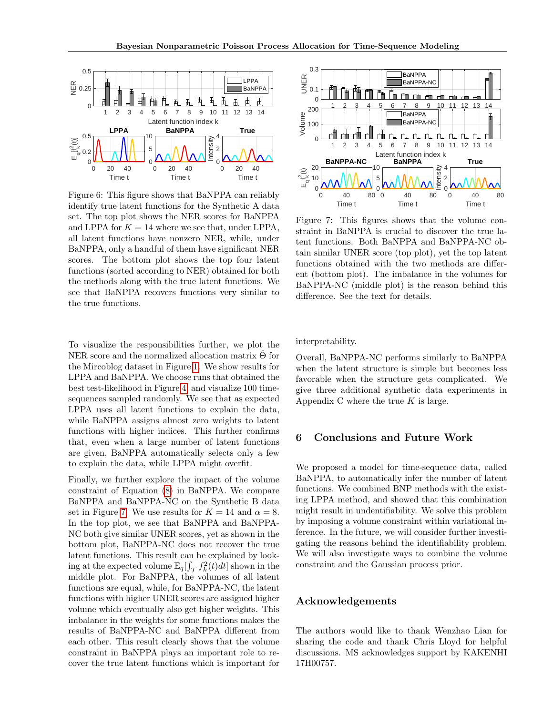<span id="page-7-0"></span>

Figure 6: This figure shows that BaNPPA can reliably identify true latent functions for the Synthetic A data set. The top plot shows the NER scores for BaNPPA and LPPA for  $K = 14$  where we see that, under LPPA, all latent functions have nonzero NER, while, under BaNPPA, only a handful of them have significant NER scores. The bottom plot shows the top four latent functions (sorted according to NER) obtained for both the methods along with the true latent functions. We see that BaNPPA recovers functions very similar to the true functions.

To visualize the responsibilities further, we plot the NER score and the normalized allocation matrix  $\Theta$  for the Mircoblog dataset in Figure [1.](#page-1-0) We show results for LPPA and BaNPPA. We choose runs that obtained the best test-likelihood in Figure [4,](#page-6-0) and visualize 100 timesequences sampled randomly. We see that as expected LPPA uses all latent functions to explain the data, while BaNPPA assigns almost zero weights to latent functions with higher indices. This further confirms that, even when a large number of latent functions are given, BaNPPA automatically selects only a few to explain the data, while LPPA might overfit.

Finally, we further explore the impact of the volume constraint of Equation [\(8\)](#page-4-2) in BaNPPA. We compare BaNPPA and BaNPPA-NC on the Synthetic B data set in Figure [7.](#page-7-1) We use results for  $K = 14$  and  $\alpha = 8$ . In the top plot, we see that BaNPPA and BaNPPA-NC both give similar UNER scores, yet as shown in the bottom plot, BaNPPA-NC does not recover the true latent functions. This result can be explained by looking at the expected volume  $\mathbb{E}_q[\int_{\mathcal{T}} f_k^2(t)dt]$  shown in the middle plot. For BaNPPA, the volumes of all latent functions are equal, while, for BaNPPA-NC, the latent functions with higher UNER scores are assigned higher volume which eventually also get higher weights. This imbalance in the weights for some functions makes the results of BaNPPA-NC and BaNPPA different from each other. This result clearly shows that the volume constraint in BaNPPA plays an important role to recover the true latent functions which is important for

<span id="page-7-1"></span>

Figure 7: This figures shows that the volume constraint in BaNPPA is crucial to discover the true latent functions. Both BaNPPA and BaNPPA-NC obtain similar UNER score (top plot), yet the top latent functions obtained with the two methods are different (bottom plot). The imbalance in the volumes for BaNPPA-NC (middle plot) is the reason behind this difference. See the text for details.

interpretability.

Overall, BaNPPA-NC performs similarly to BaNPPA when the latent structure is simple but becomes less favorable when the structure gets complicated. We give three additional synthetic data experiments in Appendix C where the true  $K$  is large.

#### 6 Conclusions and Future Work

We proposed a model for time-sequence data, called BaNPPA, to automatically infer the number of latent functions. We combined BNP methods with the existing LPPA method, and showed that this combination might result in undentifiability. We solve this problem by imposing a volume constraint within variational inference. In the future, we will consider further investigating the reasons behind the identifiability problem. We will also investigate ways to combine the volume constraint and the Gaussian process prior.

## Acknowledgements

The authors would like to thank Wenzhao Lian for sharing the code and thank Chris Lloyd for helpful discussions. MS acknowledges support by KAKENHI 17H00757.